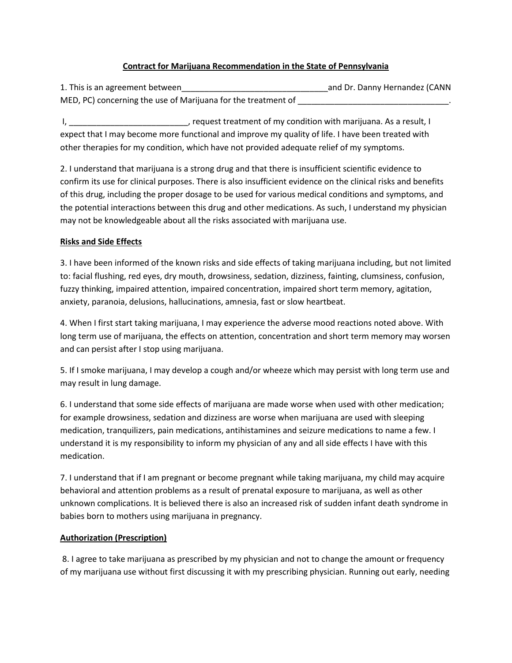## **Contract for Marijuana Recommendation in the State of Pennsylvania**

1. This is an agreement between\_\_\_\_\_\_\_\_\_\_\_\_\_\_\_\_\_\_\_\_\_\_\_\_\_\_\_\_\_\_\_\_and Dr. Danny Hernandez (CANN MED, PC) concerning the use of Marijuana for the treatment of \_\_\_\_\_\_\_\_\_\_\_\_\_\_\_\_\_\_

I, \_\_\_\_\_\_\_\_\_\_\_\_\_\_\_\_\_\_\_\_\_\_\_\_\_\_, request treatment of my condition with marijuana. As a result, I expect that I may become more functional and improve my quality of life. I have been treated with other therapies for my condition, which have not provided adequate relief of my symptoms.

2. I understand that marijuana is a strong drug and that there is insufficient scientific evidence to confirm its use for clinical purposes. There is also insufficient evidence on the clinical risks and benefits of this drug, including the proper dosage to be used for various medical conditions and symptoms, and the potential interactions between this drug and other medications. As such, I understand my physician may not be knowledgeable about all the risks associated with marijuana use.

## **Risks and Side Effects**

3. I have been informed of the known risks and side effects of taking marijuana including, but not limited to: facial flushing, red eyes, dry mouth, drowsiness, sedation, dizziness, fainting, clumsiness, confusion, fuzzy thinking, impaired attention, impaired concentration, impaired short term memory, agitation, anxiety, paranoia, delusions, hallucinations, amnesia, fast or slow heartbeat.

4. When I first start taking marijuana, I may experience the adverse mood reactions noted above. With long term use of marijuana, the effects on attention, concentration and short term memory may worsen and can persist after I stop using marijuana.

5. If I smoke marijuana, I may develop a cough and/or wheeze which may persist with long term use and may result in lung damage.

6. I understand that some side effects of marijuana are made worse when used with other medication; for example drowsiness, sedation and dizziness are worse when marijuana are used with sleeping medication, tranquilizers, pain medications, antihistamines and seizure medications to name a few. I understand it is my responsibility to inform my physician of any and all side effects I have with this medication.

7. I understand that if I am pregnant or become pregnant while taking marijuana, my child may acquire behavioral and attention problems as a result of prenatal exposure to marijuana, as well as other unknown complications. It is believed there is also an increased risk of sudden infant death syndrome in babies born to mothers using marijuana in pregnancy.

# **Authorization (Prescription)**

8. I agree to take marijuana as prescribed by my physician and not to change the amount or frequency of my marijuana use without first discussing it with my prescribing physician. Running out early, needing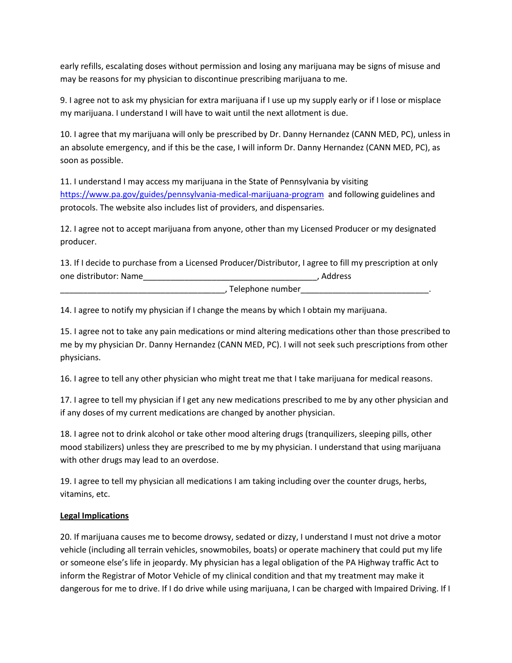early refills, escalating doses without permission and losing any marijuana may be signs of misuse and may be reasons for my physician to discontinue prescribing marijuana to me.

9. I agree not to ask my physician for extra marijuana if I use up my supply early or if I lose or misplace my marijuana. I understand I will have to wait until the next allotment is due.

10. I agree that my marijuana will only be prescribed by Dr. Danny Hernandez (CANN MED, PC), unless in an absolute emergency, and if this be the case, I will inform Dr. Danny Hernandez (CANN MED, PC), as soon as possible.

11. I understand I may access my marijuana in the State of Pennsylvania by visiting <https://www.pa.gov/guides/pennsylvania-medical-marijuana-program>and following guidelines and protocols. The website also includes list of providers, and dispensaries.

12. I agree not to accept marijuana from anyone, other than my Licensed Producer or my designated producer.

13. If I decide to purchase from a Licensed Producer/Distributor, I agree to fill my prescription at only one distributor: Name\_\_\_\_\_\_\_\_\_\_\_\_\_\_\_\_\_\_\_\_\_\_\_\_\_\_\_\_\_\_\_\_\_\_\_\_\_\_, Address

, Telephone number

14. I agree to notify my physician if I change the means by which I obtain my marijuana.

15. I agree not to take any pain medications or mind altering medications other than those prescribed to me by my physician Dr. Danny Hernandez (CANN MED, PC). I will not seek such prescriptions from other physicians.

16. I agree to tell any other physician who might treat me that I take marijuana for medical reasons.

17. I agree to tell my physician if I get any new medications prescribed to me by any other physician and if any doses of my current medications are changed by another physician.

18. I agree not to drink alcohol or take other mood altering drugs (tranquilizers, sleeping pills, other mood stabilizers) unless they are prescribed to me by my physician. I understand that using marijuana with other drugs may lead to an overdose.

19. I agree to tell my physician all medications I am taking including over the counter drugs, herbs, vitamins, etc.

# **Legal Implications**

20. If marijuana causes me to become drowsy, sedated or dizzy, I understand I must not drive a motor vehicle (including all terrain vehicles, snowmobiles, boats) or operate machinery that could put my life or someone else's life in jeopardy. My physician has a legal obligation of the PA Highway traffic Act to inform the Registrar of Motor Vehicle of my clinical condition and that my treatment may make it dangerous for me to drive. If I do drive while using marijuana, I can be charged with Impaired Driving. If I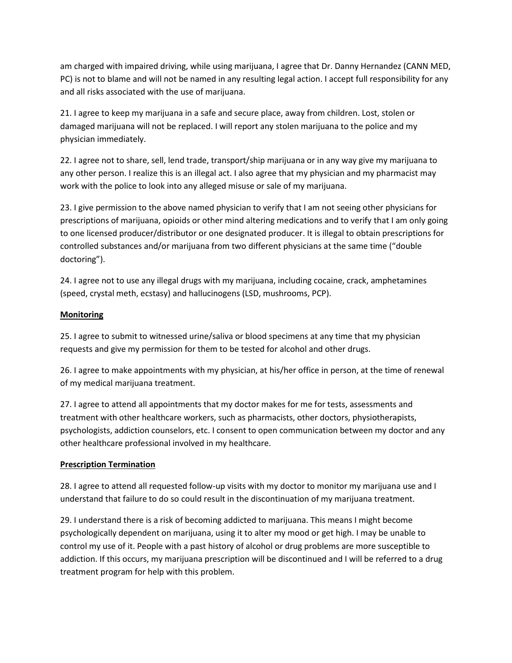am charged with impaired driving, while using marijuana, I agree that Dr. Danny Hernandez (CANN MED, PC) is not to blame and will not be named in any resulting legal action. I accept full responsibility for any and all risks associated with the use of marijuana.

21. I agree to keep my marijuana in a safe and secure place, away from children. Lost, stolen or damaged marijuana will not be replaced. I will report any stolen marijuana to the police and my physician immediately.

22. I agree not to share, sell, lend trade, transport/ship marijuana or in any way give my marijuana to any other person. I realize this is an illegal act. I also agree that my physician and my pharmacist may work with the police to look into any alleged misuse or sale of my marijuana.

23. I give permission to the above named physician to verify that I am not seeing other physicians for prescriptions of marijuana, opioids or other mind altering medications and to verify that I am only going to one licensed producer/distributor or one designated producer. It is illegal to obtain prescriptions for controlled substances and/or marijuana from two different physicians at the same time ("double doctoring").

24. I agree not to use any illegal drugs with my marijuana, including cocaine, crack, amphetamines (speed, crystal meth, ecstasy) and hallucinogens (LSD, mushrooms, PCP).

## **Monitoring**

25. I agree to submit to witnessed urine/saliva or blood specimens at any time that my physician requests and give my permission for them to be tested for alcohol and other drugs.

26. I agree to make appointments with my physician, at his/her office in person, at the time of renewal of my medical marijuana treatment.

27. I agree to attend all appointments that my doctor makes for me for tests, assessments and treatment with other healthcare workers, such as pharmacists, other doctors, physiotherapists, psychologists, addiction counselors, etc. I consent to open communication between my doctor and any other healthcare professional involved in my healthcare.

# **Prescription Termination**

28. I agree to attend all requested follow-up visits with my doctor to monitor my marijuana use and I understand that failure to do so could result in the discontinuation of my marijuana treatment.

29. I understand there is a risk of becoming addicted to marijuana. This means I might become psychologically dependent on marijuana, using it to alter my mood or get high. I may be unable to control my use of it. People with a past history of alcohol or drug problems are more susceptible to addiction. If this occurs, my marijuana prescription will be discontinued and I will be referred to a drug treatment program for help with this problem.